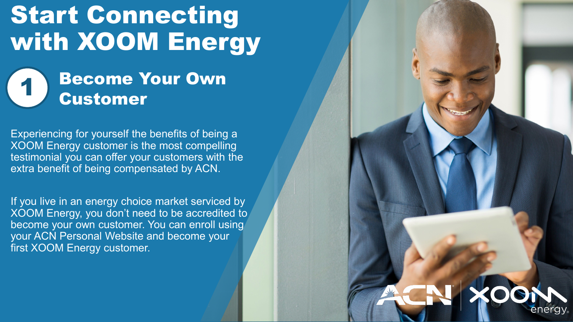# Start Connecting with XOOM Energy

### **Become Your Own** Customer

Experiencing for yourself the benefits of being a XOOM Energy customer is the most compelling testimonial you can offer your customers with the extra benefit of being compensated by ACN.

If you live in an energy choice market serviced by XOOM Energy, you don't need to be accredited to become your own customer. You can enroll using your ACN Personal Website and become your first XOOM Energy customer.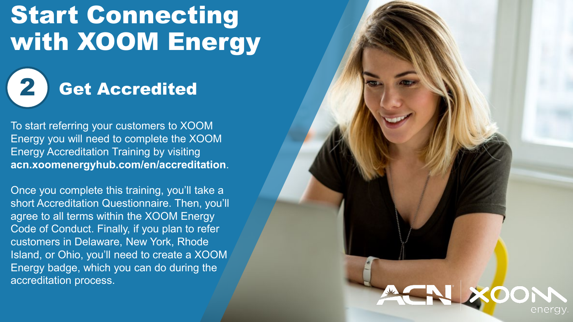# Start Connecting with XOOM Energy



To start referring your customers to XOOM Energy you will need to complete the XOOM Energy Accreditation Training by visiting **acn.xoomenergyhub.com/en/accreditation**.

Once you complete this training, you'll take a short Accreditation Questionnaire. Then, you'll agree to all terms within the XOOM Energy Code of Conduct. Finally, if you plan to refer customers in Delaware, New York, Rhode Island, or Ohio, you'll need to create a XOOM Energy badge, which you can do during the accreditation process.